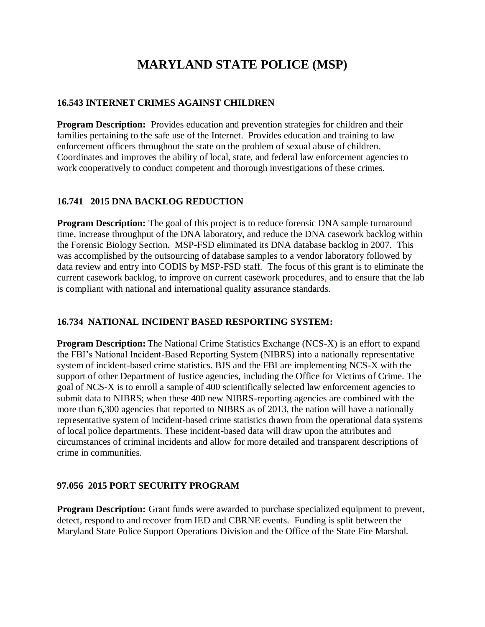# **MARYLAND STATE POLICE (MSP)**

### **16.543 INTERNET CRIMES AGAINST CHILDREN**

**Program Description:** Provides education and prevention strategies for children and their families pertaining to the safe use of the Internet. Provides education and training to law enforcement officers throughout the state on the problem of sexual abuse of children. Coordinates and improves the ability of local, state, and federal law enforcement agencies to work cooperatively to conduct competent and thorough investigations of these crimes.

## **16.741 2015 DNA BACKLOG REDUCTION**

**Program Description:** The goal of this project is to reduce forensic DNA sample turnaround time, increase throughput of the DNA laboratory, and reduce the DNA casework backlog within the Forensic Biology Section. MSP-FSD eliminated its DNA database backlog in 2007. This was accomplished by the outsourcing of database samples to a vendor laboratory followed by data review and entry into CODIS by MSP-FSD staff. The focus of this grant is to eliminate the current casework backlog, to improve on current casework procedures, and to ensure that the lab is compliant with national and international quality assurance standards.

#### **16.734 NATIONAL INCIDENT BASED RESPORTING SYSTEM:**

**Program Description:** The National Crime Statistics Exchange (NCS-X) is an effort to expand the FBI's National Incident-Based Reporting System (NIBRS) into a nationally representative system of incident-based crime statistics. BJS and the FBI are implementing NCS-X with the support of other Department of Justice agencies, including the Office for Victims of Crime. The goal of NCS-X is to enroll a sample of 400 scientifically selected law enforcement agencies to submit data to NIBRS; when these 400 new NIBRS-reporting agencies are combined with the more than 6,300 agencies that reported to NIBRS as of 2013, the nation will have a nationally representative system of incident-based crime statistics drawn from the operational data systems of local police departments. These incident-based data will draw upon the attributes and circumstances of criminal incidents and allow for more detailed and transparent descriptions of crime in communities.

# **97.056 2015 PORT SECURITY PROGRAM**

**Program Description:** Grant funds were awarded to purchase specialized equipment to prevent, detect, respond to and recover from IED and CBRNE events. Funding is split between the Maryland State Police Support Operations Division and the Office of the State Fire Marshal.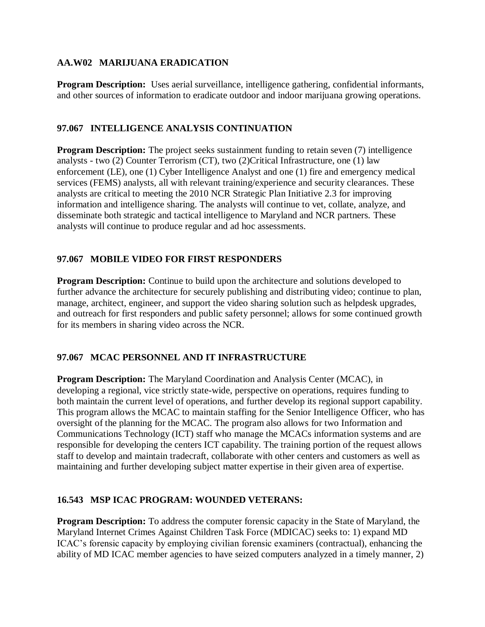#### **AA.W02 MARIJUANA ERADICATION**

**Program Description:** Uses aerial surveillance, intelligence gathering, confidential informants, and other sources of information to eradicate outdoor and indoor marijuana growing operations.

#### **97.067 INTELLIGENCE ANALYSIS CONTINUATION**

**Program Description:** The project seeks sustainment funding to retain seven (7) intelligence analysts - two (2) Counter Terrorism (CT), two (2)Critical Infrastructure, one (1) law enforcement (LE), one (1) Cyber Intelligence Analyst and one (1) fire and emergency medical services (FEMS) analysts, all with relevant training/experience and security clearances. These analysts are critical to meeting the 2010 NCR Strategic Plan Initiative 2.3 for improving information and intelligence sharing. The analysts will continue to vet, collate, analyze, and disseminate both strategic and tactical intelligence to Maryland and NCR partners. These analysts will continue to produce regular and ad hoc assessments.

#### **97.067 MOBILE VIDEO FOR FIRST RESPONDERS**

**Program Description:** Continue to build upon the architecture and solutions developed to further advance the architecture for securely publishing and distributing video; continue to plan, manage, architect, engineer, and support the video sharing solution such as helpdesk upgrades, and outreach for first responders and public safety personnel; allows for some continued growth for its members in sharing video across the NCR.

#### **97.067 MCAC PERSONNEL AND IT INFRASTRUCTURE**

**Program Description:** The Maryland Coordination and Analysis Center (MCAC), in developing a regional, vice strictly state-wide, perspective on operations, requires funding to both maintain the current level of operations, and further develop its regional support capability. This program allows the MCAC to maintain staffing for the Senior Intelligence Officer, who has oversight of the planning for the MCAC. The program also allows for two Information and Communications Technology (ICT) staff who manage the MCACs information systems and are responsible for developing the centers ICT capability. The training portion of the request allows staff to develop and maintain tradecraft, collaborate with other centers and customers as well as maintaining and further developing subject matter expertise in their given area of expertise.

#### **16.543 MSP ICAC PROGRAM: WOUNDED VETERANS:**

**Program Description:** To address the computer forensic capacity in the State of Maryland, the Maryland Internet Crimes Against Children Task Force (MDICAC) seeks to: 1) expand MD ICAC's forensic capacity by employing civilian forensic examiners (contractual), enhancing the ability of MD ICAC member agencies to have seized computers analyzed in a timely manner, 2)